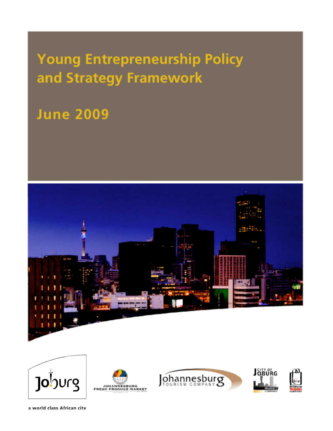## City Of Johannesburg<br>City Of Johannesburg ng Entrepreneursmp Fo and Strategy Framework

# **June 2009**

*June 2009*











a world class African citv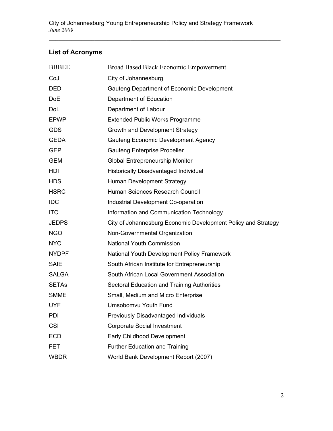## **List of Acronyms**

| <b>BBBEE</b> | Broad Based Black Economic Empowerment                        |
|--------------|---------------------------------------------------------------|
| CoJ          | City of Johannesburg                                          |
| <b>DED</b>   | Gauteng Department of Economic Development                    |
| <b>DoE</b>   | Department of Education                                       |
| <b>DoL</b>   | Department of Labour                                          |
| <b>EPWP</b>  | <b>Extended Public Works Programme</b>                        |
| <b>GDS</b>   | <b>Growth and Development Strategy</b>                        |
| <b>GEDA</b>  | Gauteng Economic Development Agency                           |
| <b>GEP</b>   | <b>Gauteng Enterprise Propeller</b>                           |
| <b>GEM</b>   | <b>Global Entrepreneurship Monitor</b>                        |
| HDI          | Historically Disadvantaged Individual                         |
| <b>HDS</b>   | Human Development Strategy                                    |
| <b>HSRC</b>  | Human Sciences Research Council                               |
| <b>IDC</b>   | Industrial Development Co-operation                           |
| <b>ITC</b>   | Information and Communication Technology                      |
| <b>JEDPS</b> | City of Johannesburg Economic Development Policy and Strategy |
| <b>NGO</b>   | Non-Governmental Organization                                 |
| <b>NYC</b>   | <b>National Youth Commission</b>                              |
| <b>NYDPF</b> | National Youth Development Policy Framework                   |
| <b>SAIE</b>  | South African Institute for Entrepreneurship                  |
| <b>SALGA</b> | South African Local Government Association                    |
| <b>SETAs</b> | Sectoral Education and Training Authorities                   |
| <b>SMME</b>  | Small, Medium and Micro Enterprise                            |
| <b>UYF</b>   | Umsobomvu Youth Fund                                          |
| PDI          | Previously Disadvantaged Individuals                          |
| <b>CSI</b>   | <b>Corporate Social Investment</b>                            |
| <b>ECD</b>   | Early Childhood Development                                   |
| <b>FET</b>   | <b>Further Education and Training</b>                         |
| <b>WBDR</b>  | World Bank Development Report (2007)                          |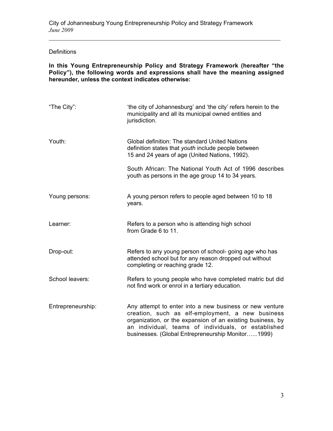#### **Definitions**

#### **In this Young Entrepreneurship Policy and Strategy Framework (hereafter "the Policy"), the following words and expressions shall have the meaning assigned hereunder, unless the context indicates otherwise:**

 $\mathcal{L}_\text{max} = \mathcal{L}_\text{max} = \mathcal{L}_\text{max} = \mathcal{L}_\text{max} = \mathcal{L}_\text{max} = \mathcal{L}_\text{max} = \mathcal{L}_\text{max} = \mathcal{L}_\text{max} = \mathcal{L}_\text{max} = \mathcal{L}_\text{max} = \mathcal{L}_\text{max} = \mathcal{L}_\text{max} = \mathcal{L}_\text{max} = \mathcal{L}_\text{max} = \mathcal{L}_\text{max} = \mathcal{L}_\text{max} = \mathcal{L}_\text{max} = \mathcal{L}_\text{max} = \mathcal{$ 

| "The City":       | 'the city of Johannesburg' and 'the city' refers herein to the<br>municipality and all its municipal owned entities and<br>jurisdiction.                                                                                                                                              |
|-------------------|---------------------------------------------------------------------------------------------------------------------------------------------------------------------------------------------------------------------------------------------------------------------------------------|
| Youth:            | Global definition: The standard United Nations<br>definition states that youth include people between<br>15 and 24 years of age (United Nations, 1992).                                                                                                                               |
|                   | South African: The National Youth Act of 1996 describes<br>youth as persons in the age group 14 to 34 years.                                                                                                                                                                          |
| Young persons:    | A young person refers to people aged between 10 to 18<br>years.                                                                                                                                                                                                                       |
| Learner:          | Refers to a person who is attending high school<br>from Grade 6 to 11.                                                                                                                                                                                                                |
| Drop-out:         | Refers to any young person of school- going age who has<br>attended school but for any reason dropped out without<br>completing or reaching grade 12.                                                                                                                                 |
| School leavers:   | Refers to young people who have completed matric but did<br>not find work or enrol in a tertiary education.                                                                                                                                                                           |
| Entrepreneurship: | Any attempt to enter into a new business or new venture<br>creation, such as elf-employment, a new business<br>organization, or the expansion of an existing business, by<br>an individual, teams of individuals, or established<br>businesses. (Global Entrepreneurship Monitor1999) |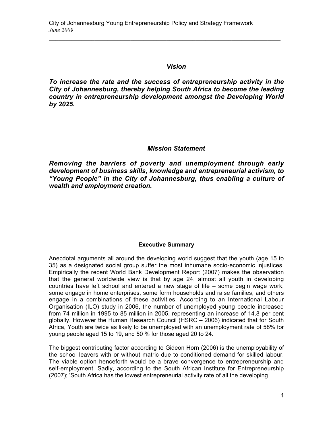## *Vision*

*To increase the rate and the success of entrepreneurship activity in the City of Johannesburg, thereby helping South Africa to become the leading country in entrepreneurship development amongst the Developing World by 2025.*

 $\mathcal{L}_\text{max} = \mathcal{L}_\text{max} = \mathcal{L}_\text{max} = \mathcal{L}_\text{max} = \mathcal{L}_\text{max} = \mathcal{L}_\text{max} = \mathcal{L}_\text{max} = \mathcal{L}_\text{max} = \mathcal{L}_\text{max} = \mathcal{L}_\text{max} = \mathcal{L}_\text{max} = \mathcal{L}_\text{max} = \mathcal{L}_\text{max} = \mathcal{L}_\text{max} = \mathcal{L}_\text{max} = \mathcal{L}_\text{max} = \mathcal{L}_\text{max} = \mathcal{L}_\text{max} = \mathcal{$ 

## *Mission Statement*

*Removing the barriers of poverty and unemployment through early development of business skills, knowledge and entrepreneurial activism, to "Young People" in the City of Johannesburg, thus enabling a culture of wealth and employment creation.*

## **Executive Summary**

Anecdotal arguments all around the developing world suggest that the youth (age 15 to 35) as a designated social group suffer the most inhumane socio-economic injustices. Empirically the recent World Bank Development Report (2007) makes the observation that the general worldwide view is that by age 24, almost all youth in developing countries have left school and entered a new stage of life – some begin wage work, some engage in home enterprises, some form households and raise families, and others engage in a combinations of these activities. According to an International Labour Organisation (ILO) study in 2006, the number of unemployed young people increased from 74 million in 1995 to 85 million in 2005, representing an increase of 14.8 per cent globally. However the Human Research Council (HSRC – 2006) indicated that for South Africa, Youth are twice as likely to be unemployed with an unemployment rate of 58% for young people aged 15 to 19, and 50 % for those aged 20 to 24.

The biggest contributing factor according to Gideon Horn (2006) is the unemployability of the school leavers with or without matric due to conditioned demand for skilled labour. The viable option henceforth would be a brave convergence to entrepreneurship and self-employment. Sadly, according to the South African Institute for Entrepreneurship (2007); 'South Africa has the lowest entrepreneurial activity rate of all the developing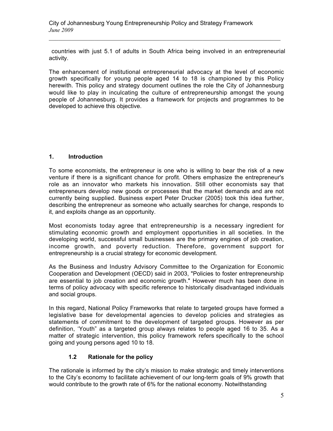countries with just 5.1 of adults in South Africa being involved in an entrepreneurial activity.

 $\mathcal{L}_\text{max} = \mathcal{L}_\text{max} = \mathcal{L}_\text{max} = \mathcal{L}_\text{max} = \mathcal{L}_\text{max} = \mathcal{L}_\text{max} = \mathcal{L}_\text{max} = \mathcal{L}_\text{max} = \mathcal{L}_\text{max} = \mathcal{L}_\text{max} = \mathcal{L}_\text{max} = \mathcal{L}_\text{max} = \mathcal{L}_\text{max} = \mathcal{L}_\text{max} = \mathcal{L}_\text{max} = \mathcal{L}_\text{max} = \mathcal{L}_\text{max} = \mathcal{L}_\text{max} = \mathcal{$ 

The enhancement of institutional entrepreneurial advocacy at the level of economic growth specifically for young people aged 14 to 18 is championed by this Policy herewith. This policy and strategy document outlines the role the City of Johannesburg would like to play in inculcating the culture of entrepreneurship amongst the young people of Johannesburg. It provides a framework for projects and programmes to be developed to achieve this objective.

## **1. Introduction**

To some economists, the entrepreneur is one who is willing to bear the risk of a new venture if there is a significant chance for profit. Others emphasize the entrepreneur's role as an innovator who markets his innovation. Still other economists say that entrepreneurs develop new goods or processes that the market demands and are not currently being supplied. Business expert Peter Drucker (2005) took this idea further, describing the entrepreneur as someone who actually searches for change, responds to it, and exploits change as an opportunity.

Most economists today agree that entrepreneurship is a necessary ingredient for stimulating economic growth and employment opportunities in all societies. In the developing world, successful small businesses are the primary engines of job creation, income growth, and poverty reduction. Therefore, government support for entrepreneurship is a crucial strategy for economic development.

As the Business and Industry Advisory Committee to the Organization for Economic Cooperation and Development (OECD) said in 2003, "Policies to foster entrepreneurship are essential to job creation and economic growth." However much has been done in terms of policy advocacy with specific reference to historically disadvantaged individuals and social groups.

In this regard, National Policy Frameworks that relate to targeted groups have formed a legislative base for developmental agencies to develop policies and strategies as statements of commitment to the development of targeted groups. However as per definition, 'Youth" as a targeted group always relates to people aged 16 to 35. As a matter of strategic intervention, this policy framework refers specifically to the school going and young persons aged 10 to 18.

## **1.2 Rationale for the policy**

The rationale is informed by the city's mission to make strategic and timely interventions to the City's economy to facilitate achievement of our long-term goals of 9% growth that would contribute to the growth rate of 6% for the national economy. Notwithstanding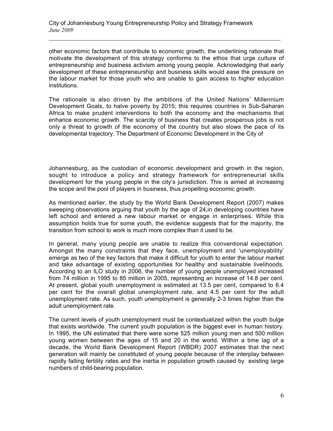other economic factors that contribute to economic growth, the underlining rationale that motivate the development of this strategy conforms to the ethos that urge culture of entrepreneurship and business activism among young people. Acknowledging that early development of these entrepreneurship and business skills would ease the pressure on the labour market for those youth who are unable to gain access to higher education institutions.

 $\mathcal{L}_\text{max} = \mathcal{L}_\text{max} = \mathcal{L}_\text{max} = \mathcal{L}_\text{max} = \mathcal{L}_\text{max} = \mathcal{L}_\text{max} = \mathcal{L}_\text{max} = \mathcal{L}_\text{max} = \mathcal{L}_\text{max} = \mathcal{L}_\text{max} = \mathcal{L}_\text{max} = \mathcal{L}_\text{max} = \mathcal{L}_\text{max} = \mathcal{L}_\text{max} = \mathcal{L}_\text{max} = \mathcal{L}_\text{max} = \mathcal{L}_\text{max} = \mathcal{L}_\text{max} = \mathcal{$ 

The rationale is also driven by the ambitions of the United Nations' Millennium Development Goals, to halve poverty by 2015; this requires countries in Sub-Saharan Africa to make prudent interventions to both the economy and the mechanisms that enhance economic growth. The scarcity of business that creates prosperous jobs is not only a threat to growth of the economy of the country but also slows the pace of its developmental trajectory. The Department of Economic Development in the City of

Johannesburg, as the custodian of economic development and growth in the region, sought to introduce a policy and strategy framework for entrepreneurial skills development for the young people in the city's jurisdiction. This is aimed at increasing the scope and the pool of players in business, thus propelling economic growth.

As mentioned earlier, the study by the World Bank Development Report (2007) makes sweeping observations arguing that youth by the age of 24,in developing countries have left school and entered a new labour market or engage in enterprises. While this assumption holds true for some youth, the evidence suggests that for the majority, the transition from school to work is much more complex than it used to be.

In general, many young people are unable to realize this conventional expectation. Amongst the many constraints that they face, unemployment and 'unemployability' emerge as two of the key factors that make it difficult for youth to enter the labour market and take advantage of existing opportunities for healthy and sustainable livelihoods. According to an ILO study in 2006, the number of young people unemployed increased from 74 million in 1995 to 85 million in 2005, representing an increase of 14.8 per cent. At present, global youth unemployment is estimated at 13.5 per cent, compared to 6.4 per cent for the overall global unemployment rate, and 4.5 per cent for the adult unemployment rate. As such, youth unemployment is generally 2-3 times higher than the adult unemployment rate.

The current levels of youth unemployment must be contextualized within the youth bulge that exists worldwide. The current youth population is the biggest ever in human history. In 1995, the UN estimated that there were some 525 million young men and 500 million young women between the ages of 15 and 20 in the world. Within a time lag of a decade, the World Bank Development Report (WBDR) 2007 estimates that the next generation will mainly be constituted of young people because of the interplay between rapidly falling fertility rates and the inertia in population growth caused by existing large numbers of child-bearing population.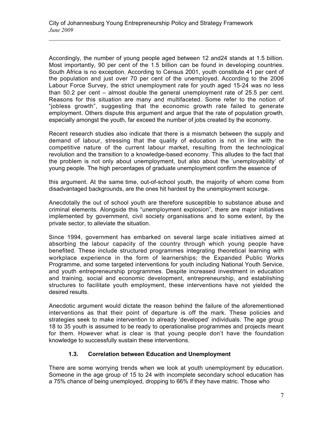Accordingly, the number of young people aged between 12 and24 stands at 1.5 billion. Most importantly, 90 per cent of the 1.5 billion can be found in developing countries. South Africa is no exception. According to Census 2001, youth constitute 41 per cent of the population and just over 70 per cent of the unemployed. According to the 2006 Labour Force Survey, the strict unemployment rate for youth aged 15-24 was no less than 50.2 per cent – almost double the general unemployment rate of 25.5 per cent. Reasons for this situation are many and multifaceted. Some refer to the notion of "jobless growth", suggesting that the economic growth rate failed to generate employment. Others dispute this argument and argue that the rate of population growth, especially amongst the youth, far exceed the number of jobs created by the economy.

 $\mathcal{L}_\text{max} = \mathcal{L}_\text{max} = \mathcal{L}_\text{max} = \mathcal{L}_\text{max} = \mathcal{L}_\text{max} = \mathcal{L}_\text{max} = \mathcal{L}_\text{max} = \mathcal{L}_\text{max} = \mathcal{L}_\text{max} = \mathcal{L}_\text{max} = \mathcal{L}_\text{max} = \mathcal{L}_\text{max} = \mathcal{L}_\text{max} = \mathcal{L}_\text{max} = \mathcal{L}_\text{max} = \mathcal{L}_\text{max} = \mathcal{L}_\text{max} = \mathcal{L}_\text{max} = \mathcal{$ 

Recent research studies also indicate that there is a mismatch between the supply and demand of labour, stressing that the quality of education is not in line with the competitive nature of the current labour market, resulting from the technological revolution and the transition to a knowledge-based economy. This alludes to the fact that the problem is not only about unemployment, but also about the 'unemployability' of young people. The high percentages of graduate unemployment confirm the essence of

this argument. At the same time, out-of-school youth, the majority of whom come from disadvantaged backgrounds, are the ones hit hardest by the unemployment scourge.

Anecdotally the out of school youth are therefore susceptible to substance abuse and criminal elements. Alongside this "unemployment explosion", there are major initiatives implemented by government, civil society organisations and to some extent, by the private sector, to alleviate the situation.

Since 1994, government has embarked on several large scale initiatives aimed at absorbing the labour capacity of the country through which young people have benefited. These include structured programmes integrating theoretical learning with workplace experience in the form of learnerships; the Expanded Public Works Programme, and some targeted interventions for youth including National Youth Service, and youth entrepreneurship programmes. Despite increased investment in education and training, social and economic development, entrepreneurship, and establishing structures to facilitate youth employment, these interventions have not yielded the desired results.

Anecdotic argument would dictate the reason behind the failure of the aforementioned interventions as that their point of departure is off the mark. These policies and strategies seek to make intervention to already 'developed' individuals. The age group 18 to 35 youth is assumed to be ready to operationalise programmes and projects meant for them. However what is clear is that young people don't have the foundation knowledge to successfully sustain these interventions.

## **1.3. Correlation between Education and Unemployment**

There are some worrying trends when we look at youth unemployment by education. Someone in the age group of 15 to 24 with incomplete secondary school education has a 75% chance of being unemployed, dropping to 66% if they have matric. Those who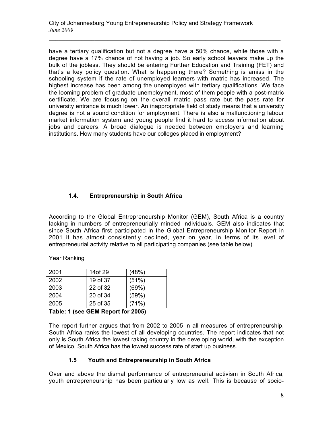have a tertiary qualification but not a degree have a 50% chance, while those with a degree have a 17% chance of not having a job. So early school leavers make up the bulk of the jobless. They should be entering Further Education and Training (FET) and that's a key policy question. What is happening there? Something is amiss in the schooling system if the rate of unemployed learners with matric has increased. The highest increase has been among the unemployed with tertiary qualifications. We face the looming problem of graduate unemployment, most of them people with a post-matric certificate. We are focusing on the overall matric pass rate but the pass rate for university entrance is much lower. An inappropriate field of study means that a university degree is not a sound condition for employment. There is also a malfunctioning labour market information system and young people find it hard to access information about jobs and careers. A broad dialogue is needed between employers and learning institutions. How many students have our colleges placed in employment?

 $\mathcal{L}_\text{max} = \mathcal{L}_\text{max} = \mathcal{L}_\text{max} = \mathcal{L}_\text{max} = \mathcal{L}_\text{max} = \mathcal{L}_\text{max} = \mathcal{L}_\text{max} = \mathcal{L}_\text{max} = \mathcal{L}_\text{max} = \mathcal{L}_\text{max} = \mathcal{L}_\text{max} = \mathcal{L}_\text{max} = \mathcal{L}_\text{max} = \mathcal{L}_\text{max} = \mathcal{L}_\text{max} = \mathcal{L}_\text{max} = \mathcal{L}_\text{max} = \mathcal{L}_\text{max} = \mathcal{$ 

## **1.4. Entrepreneurship in South Africa**

According to the Global Entrepreneurship Monitor (GEM), South Africa is a country lacking in numbers of entrepreneurially minded individuals. GEM also indicates that since South Africa first participated in the Global Entrepreneurship Monitor Report in 2001 it has almost consistently declined, year on year, in terms of its level of entrepreneurial activity relative to all participating companies (see table below).

Year Ranking

| 2001 | 14 of 29     | (48%) |
|------|--------------|-------|
| 2002 | 19 of 37     | (51%) |
| 2003 | 22 of 32     | (69%) |
| 2004 | $20$ of $34$ | (59%) |
| 2005 | $25$ of $35$ | (71%) |

**Table: 1 (see GEM Report for 2005)**

The report further argues that from 2002 to 2005 in all measures of entrepreneurship, South Africa ranks the lowest of all developing countries. The report indicates that not only is South Africa the lowest raking country in the developing world, with the exception of Mexico, South Africa has the lowest success rate of start up business.

## **1.5 Youth and Entrepreneurship in South Africa**

Over and above the dismal performance of entrepreneurial activism in South Africa, youth entrepreneurship has been particularly low as well. This is because of socio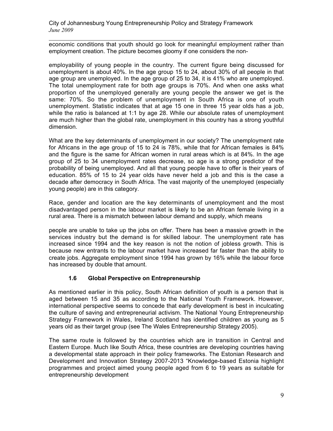economic conditions that youth should go look for meaningful employment rather than employment creation. The picture becomes gloomy if one considers the non-

 $\mathcal{L}_\text{max} = \mathcal{L}_\text{max} = \mathcal{L}_\text{max} = \mathcal{L}_\text{max} = \mathcal{L}_\text{max} = \mathcal{L}_\text{max} = \mathcal{L}_\text{max} = \mathcal{L}_\text{max} = \mathcal{L}_\text{max} = \mathcal{L}_\text{max} = \mathcal{L}_\text{max} = \mathcal{L}_\text{max} = \mathcal{L}_\text{max} = \mathcal{L}_\text{max} = \mathcal{L}_\text{max} = \mathcal{L}_\text{max} = \mathcal{L}_\text{max} = \mathcal{L}_\text{max} = \mathcal{$ 

employability of young people in the country. The current figure being discussed for unemployment is about 40%. In the age group 15 to 24, about 30% of all people in that age group are unemployed. In the age group of 25 to 34, it is 41% who are unemployed. The total unemployment rate for both age groups is 70%. And when one asks what proportion of the unemployed generally are young people the answer we get is the same: 70%. So the problem of unemployment in South Africa is one of youth unemployment. Statistic indicates that at age 15 one in three 15 year olds has a job, while the ratio is balanced at 1:1 by age 28. While our absolute rates of unemployment are much higher than the global rate, unemployment in this country has a strong youthful dimension.

What are the key determinants of unemployment in our society? The unemployment rate for Africans in the age group of 15 to 24 is 78%, while that for African females is 84% and the figure is the same for African women in rural areas which is at 84%. In the age group of 25 to 34 unemployment rates decrease, so age is a strong predictor of the probability of being unemployed. And all that young people have to offer is their years of education. 85% of 15 to 24 year olds have never held a job and this is the case a decade after democracy in South Africa. The vast majority of the unemployed (especially young people) are in this category.

Race, gender and location are the key determinants of unemployment and the most disadvantaged person in the labour market is likely to be an African female living in a rural area. There is a mismatch between labour demand and supply, which means

people are unable to take up the jobs on offer. There has been a massive growth in the services industry but the demand is for skilled labour. The unemployment rate has increased since 1994 and the key reason is not the notion of jobless growth. This is because new entrants to the labour market have increased far faster than the ability to create jobs. Aggregate employment since 1994 has grown by 16% while the labour force has increased by double that amount.

## **1.6 Global Perspective on Entrepreneurship**

As mentioned earlier in this policy, South African definition of youth is a person that is aged between 15 and 35 as according to the National Youth Framework. However, international perspective seems to concede that early development is best in inculcating the culture of saving and entrepreneurial activism. The National Young Entrepreneurship Strategy Framework in Wales, Ireland Scotland has identified children as young as 5 years old as their target group (see The Wales Entrepreneurship Strategy 2005).

The same route is followed by the countries which are in transition in Central and Eastern Europe. Much like South Africa, these countries are developing countries having a developmental state approach in their policy frameworks. The Estonian Research and Development and Innovation Strategy 2007-2013 "Knowledge-based Estonia highlight programmes and project aimed young people aged from 6 to 19 years as suitable for entrepreneurship development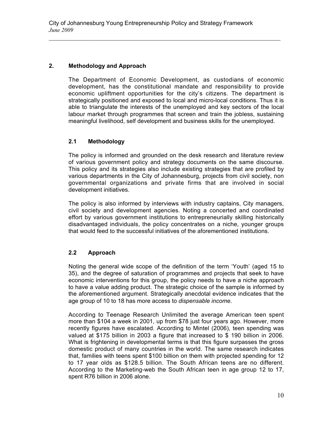## **2. Methodology and Approach**

The Department of Economic Development, as custodians of economic development, has the constitutional mandate and responsibility to provide economic upliftment opportunities for the city's citizens. The department is strategically positioned and exposed to local and micro-local conditions. Thus it is able to triangulate the interests of the unemployed and key sectors of the local labour market through programmes that screen and train the jobless, sustaining meaningful livelihood, self development and business skills for the unemployed.

## **2.1 Methodology**

The policy is informed and grounded on the desk research and literature review of various government policy and strategy documents on the same discourse. This policy and its strategies also include existing strategies that are profiled by various departments in the City of Johannesburg, projects from civil society, non governmental organizations and private firms that are involved in social development initiatives.

The policy is also informed by interviews with industry captains, City managers, civil society and development agencies. Noting a concerted and coordinated effort by various government institutions to entrepreneurially skilling historically disadvantaged individuals, the policy concentrates on a niche, younger groups that would feed to the successful initiatives of the aforementioned institutions.

## **2.2 Approach**

Noting the general wide scope of the definition of the term 'Youth' (aged 15 to 35), and the degree of saturation of programmes and projects that seek to have economic interventions for this group, the policy needs to have a niche approach to have a value adding product. The strategic choice of the sample is informed by the aforementioned argument. Strategically anecdotal evidence indicates that the age group of 10 to 18 has more access to *dispensable income*.

According to Teenage Research Unlimited the average American teen spent more than \$104 a week in 2001, up from \$78 just four years ago. However, more recently figures have escalated. According to Mintel (2006), teen spending was valued at \$175 billion in 2003 a figure that increased to \$ 190 billion in 2006. What is frightening in developmental terms is that this figure surpasses the gross domestic product of many countries in the world. The same research indicates that, families with teens spent \$100 billion on them with projected spending for 12 to 17 year olds as \$128.5 billion. The South African teens are no different. According to the Marketing-web the South African teen in age group 12 to 17, spent R76 billion in 2006 alone.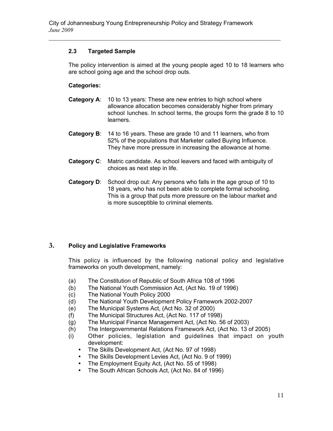## **2.3 Targeted Sample**

The policy intervention is aimed at the young people aged 10 to 18 learners who are school going age and the school drop outs.

## **Categories:**

- **Category A**: 10 to 13 years: These are new entries to high school where allowance allocation becomes considerably higher from primary school lunches. In school terms, the groups form the grade 8 to 10 learners.
- **Category B**: 14 to 16 years. These are grade 10 and 11 learners, who from 52% of the populations that Marketer called Buying Influence. They have more pressure in increasing the allowance at home.
- **Category C**: Matric candidate. As school leavers and faced with ambiguity of choices as next step in life.
- **Category D**: School drop out: Any persons who falls in the age group of 10 to 18 years, who has not been able to complete formal schooling. This is a group that puts more pressure on the labour market and is more susceptible to criminal elements.

## **3. Policy and Legislative Frameworks**

This policy is influenced by the following national policy and legislative frameworks on youth development, namely:

- (a) The Constitution of Republic of South Africa 108 of 1996
- (b) The National Youth Commission Act, (Act No. 19 of 1996)
- (c) The National Youth Policy 2000
- (d) The National Youth Development Policy Framework 2002-2007
- (e) The Municipal Systems Act, (Act No. 32 of 2000)
- (f) The Municipal Structures Act, (Act No. 117 of 1998)
- (g) The Municipal Finance Management Act, (Act No. 56 of 2003)
- (h) The Intergovernmental Relations Framework Act, (Act No. 13 of 2005)
- (i) Other policies, legislation and guidelines that impact on youth development:
	- The Skills Development Act, (Act No. 97 of 1998)
	- The Skills Development Levies Act, (Act No. 9 of 1999)
	- The Employment Equity Act, (Act No. 55 of 1998)
	- The South African Schools Act, (Act No. 84 of 1996)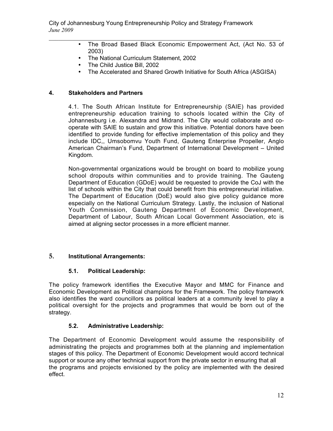- The Broad Based Black Economic Empowerment Act, (Act No. 53 of 2003)
- The National Curriculum Statement, 2002
- The Child Justice Bill, 2002<br>• The Accelerated and Shared
- The Accelerated and Shared Growth Initiative for South Africa (ASGISA)

## **4. Stakeholders and Partners**

4.1. The South African Institute for Entrepreneurship (SAIE) has provided entrepreneurship education training to schools located within the City of Johannesburg i.e. Alexandra and Midrand. The City would collaborate and cooperate with SAIE to sustain and grow this initiative. Potential donors have been identified to provide funding for effective implementation of this policy and they include IDC,, Umsobomvu Youth Fund, Gauteng Enterprise Propeller, Anglo American Chairman's Fund, Department of International Development – United Kingdom.

Non-governmental organizations would be brought on board to mobilize young school dropouts within communities and to provide training. The Gauteng Department of Education (GDoE) would be requested to provide the CoJ with the list of schools within the City that could benefit from this entrepreneurial initiative. The Department of Education (DoE) would also give policy guidance more especially on the National Curriculum Strategy. Lastly, the inclusion of National Youth Commission, Gauteng Department of Economic Development, Department of Labour, South African Local Government Association, etc is aimed at aligning sector processes in a more efficient manner.

## **5. Institutional Arrangements:**

## **5.1. Political Leadership:**

The policy framework identifies the Executive Mayor and MMC for Finance and Economic Development as Political champions for the Framework. The policy framework also identifies the ward councillors as political leaders at a community level to play a political oversight for the projects and programmes that would be born out of the strategy.

## **5.2. Administrative Leadership:**

The Department of Economic Development would assume the responsibility of administrating the projects and programmes both at the planning and implementation stages of this policy. The Department of Economic Development would accord technical support or source any other technical support from the private sector in ensuring that all the programs and projects envisioned by the policy are implemented with the desired effect.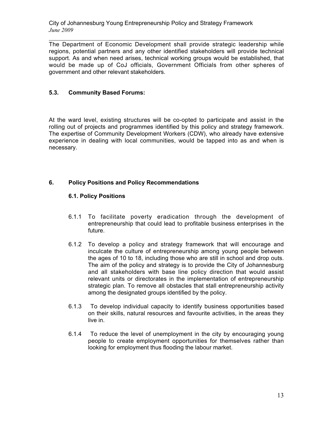City of Johannesburg Young Entrepreneurship Policy and Strategy Framework *June 2009*

The Department of Economic Development shall provide strategic leadership while regions, potential partners and any other identified stakeholders will provide technical support. As and when need arises, technical working groups would be established, that would be made up of CoJ officials, Government Officials from other spheres of government and other relevant stakeholders.

 $\mathcal{L}_\text{max} = \mathcal{L}_\text{max} = \mathcal{L}_\text{max} = \mathcal{L}_\text{max} = \mathcal{L}_\text{max} = \mathcal{L}_\text{max} = \mathcal{L}_\text{max} = \mathcal{L}_\text{max} = \mathcal{L}_\text{max} = \mathcal{L}_\text{max} = \mathcal{L}_\text{max} = \mathcal{L}_\text{max} = \mathcal{L}_\text{max} = \mathcal{L}_\text{max} = \mathcal{L}_\text{max} = \mathcal{L}_\text{max} = \mathcal{L}_\text{max} = \mathcal{L}_\text{max} = \mathcal{$ 

### **5.3. Community Based Forums:**

At the ward level, existing structures will be co-opted to participate and assist in the rolling out of projects and programmes identified by this policy and strategy framework. The expertise of Community Development Workers (CDW), who already have extensive experience in dealing with local communities, would be tapped into as and when is necessary.

#### **6. Policy Positions and Policy Recommendations**

#### **6.1. Policy Positions**

- 6.1.1 To facilitate poverty eradication through the development of entrepreneurship that could lead to profitable business enterprises in the future.
- 6.1.2 To develop a policy and strategy framework that will encourage and inculcate the culture of entrepreneurship among young people between the ages of 10 to 18, including those who are still in school and drop outs. The aim of the policy and strategy is to provide the City of Johannesburg and all stakeholders with base line policy direction that would assist relevant units or directorates in the implementation of entrepreneurship strategic plan. To remove all obstacles that stall entrepreneurship activity among the designated groups identified by the policy.
- 6.1.3 To develop individual capacity to identify business opportunities based on their skills, natural resources and favourite activities, in the areas they live in.
- 6.1.4 To reduce the level of unemployment in the city by encouraging young people to create employment opportunities for themselves rather than looking for employment thus flooding the labour market.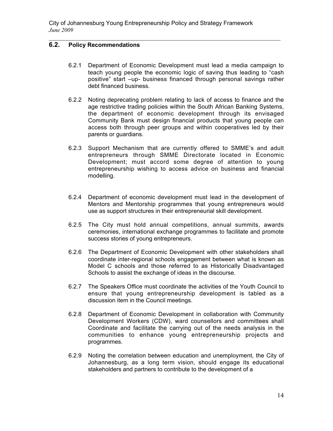## **6.2. Policy Recommendations**

- 6.2.1 Department of Economic Development must lead a media campaign to teach young people the economic logic of saving thus leading to "cash positive" start –up- business financed through personal savings rather debt financed business.
- 6.2.2 Noting deprecating problem relating to lack of access to finance and the age restrictive trading policies within the South African Banking Systems, the department of economic development through its envisaged Community Bank must design financial products that young people can access both through peer groups and within cooperatives led by their parents or guardians.
- 6.2.3 Support Mechanism that are currently offered to SMME's and adult entrepreneurs through SMME Directorate located in Economic Development; must accord some degree of attention to young entrepreneurship wishing to access advice on business and financial modelling.
- 6.2.4 Department of economic development must lead in the development of Mentors and Mentorship programmes that young entrepreneurs would use as support structures in their entrepreneurial skill development.
- 6.2.5 The City must hold annual competitions, annual summits, awards ceremonies, international exchange programmes to facilitate and promote success stories of young entrepreneurs.
- 6.2.6 The Department of Economic Development with other stakeholders shall coordinate inter-regional schools engagement between what is known as Model C schools and those referred to as Historically Disadvantaged Schools to assist the exchange of ideas in the discourse.
- 6.2.7 The Speakers Office must coordinate the activities of the Youth Council to ensure that young entrepreneurship development is tabled as a discussion item in the Council meetings.
- 6.2.8 Department of Economic Development in collaboration with Community Development Workers (CDW), ward counsellors and committees shall Coordinate and facilitate the carrying out of the needs analysis in the communities to enhance young entrepreneurship projects and programmes.
- 6.2.9 Noting the correlation between education and unemployment, the City of Johannesburg, as a long term vision, should engage its educational stakeholders and partners to contribute to the development of a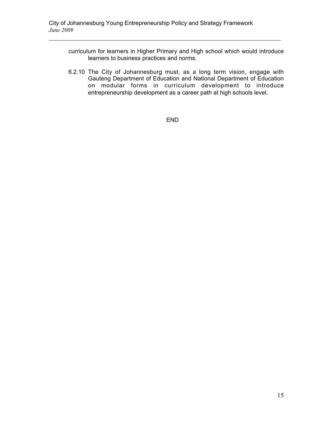curriculum for learners in Higher Primary and High school which would introduce learners to business practices and norms.

 $\mathcal{L}_\text{max} = \mathcal{L}_\text{max} = \mathcal{L}_\text{max} = \mathcal{L}_\text{max} = \mathcal{L}_\text{max} = \mathcal{L}_\text{max} = \mathcal{L}_\text{max} = \mathcal{L}_\text{max} = \mathcal{L}_\text{max} = \mathcal{L}_\text{max} = \mathcal{L}_\text{max} = \mathcal{L}_\text{max} = \mathcal{L}_\text{max} = \mathcal{L}_\text{max} = \mathcal{L}_\text{max} = \mathcal{L}_\text{max} = \mathcal{L}_\text{max} = \mathcal{L}_\text{max} = \mathcal{$ 

6.2.10 The City of Johannesburg must, as a long term vision, engage with Gauteng Department of Education and National Department of Education on modular forms in curriculum development to introduce entrepreneurship development as a career path at high schools level.

END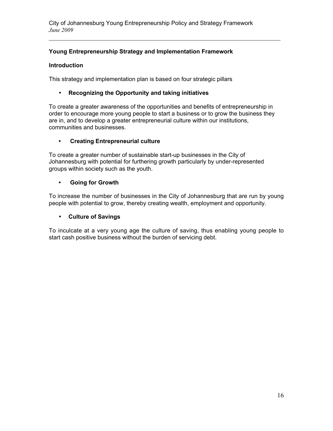## **Young Entrepreneurship Strategy and Implementation Framework**

## **Introduction**

This strategy and implementation plan is based on four strategic pillars

## • **Recognizing the Opportunity and taking initiatives**

To create a greater awareness of the opportunities and benefits of entrepreneurship in order to encourage more young people to start a business or to grow the business they are in, and to develop a greater entrepreneurial culture within our institutions, communities and businesses.

## **• Creating Entrepreneurial culture**

To create a greater number of sustainable start-up businesses in the City of Johannesburg with potential for furthering growth particularly by under-represented groups within society such as the youth.

## **• Going for Growth**

To increase the number of businesses in the City of Johannesburg that are run by young people with potential to grow, thereby creating wealth, employment and opportunity.

## • **Culture of Savings**

To inculcate at a very young age the culture of saving, thus enabling young people to start cash positive business without the burden of servicing debt.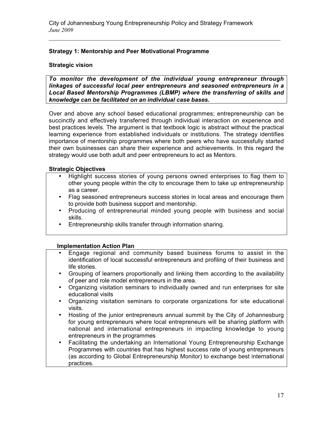## **Strategy 1: Mentorship and Peer Motivational Programme**

### **Strategic vision**

*To monitor the development of the individual young entrepreneur through linkages of successful local peer entrepreneurs and seasoned entrepreneurs in a Local Based Mentorship Programmes (LBMP) where the transferring of skills and knowledge can be facilitated on an individual case bases.*

 $\mathcal{L}_\text{max} = \mathcal{L}_\text{max} = \mathcal{L}_\text{max} = \mathcal{L}_\text{max} = \mathcal{L}_\text{max} = \mathcal{L}_\text{max} = \mathcal{L}_\text{max} = \mathcal{L}_\text{max} = \mathcal{L}_\text{max} = \mathcal{L}_\text{max} = \mathcal{L}_\text{max} = \mathcal{L}_\text{max} = \mathcal{L}_\text{max} = \mathcal{L}_\text{max} = \mathcal{L}_\text{max} = \mathcal{L}_\text{max} = \mathcal{L}_\text{max} = \mathcal{L}_\text{max} = \mathcal{$ 

Over and above any school based educational programmes; entrepreneurship can be succinctly and effectively transferred through individual interaction on experience and best practices levels. The argument is that textbook logic is abstract without the practical learning experience from established individuals or institutions. The strategy identifies importance of mentorship programmes where both peers who have successfully started their own businesses can share their experience and achievements. In this regard the strategy would use both adult and peer entrepreneurs to act as Mentors.

#### **Strategic Objectives**

- Highlight success stories of young persons owned enterprises to flag them to other young people within the city to encourage them to take up entrepreneurship as a career.
- Flag seasoned entrepreneurs success stories in local areas and encourage them to provide both business support and mentorship.
- Producing of entrepreneurial minded young people with business and social skills.
- Entrepreneurship skills transfer through information sharing.

#### **Implementation Action Plan**

- Engage regional and community based business forums to assist in the identification of local successful entrepreneurs and profiling of their business and life stories.
- Grouping of learners proportionally and linking them according to the availability of peer and role model entrepreneurs in the area.
- Organizing visitation seminars to individually owned and run enterprises for site educational visits
- Organizing visitation seminars to corporate organizations for site educational visits.
- Hosting of the junior entrepreneurs annual summit by the City of Johannesburg for young entrepreneurs where local entrepreneurs will be sharing platform with national and international entrepreneurs in impacting knowledge to young entrepreneurs in the programmes
- Facilitating the undertaking an International Young Entrepreneurship Exchange Programmes with countries that has highest success rate of young entrepreneurs (as according to Global Entrepreneurship Monitor) to exchange best international practices.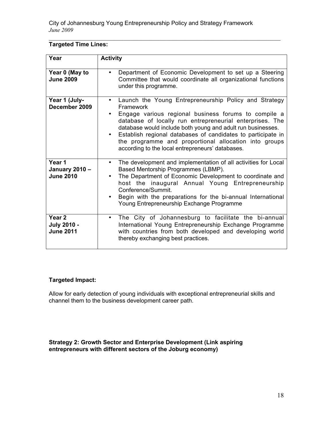## **Targeted Time Lines:**

| Year                                                        | <b>Activity</b>                                                                                                                                                                                                                                                                                                                                                                                                                                 |
|-------------------------------------------------------------|-------------------------------------------------------------------------------------------------------------------------------------------------------------------------------------------------------------------------------------------------------------------------------------------------------------------------------------------------------------------------------------------------------------------------------------------------|
| Year 0 (May to<br><b>June 2009</b>                          | Department of Economic Development to set up a Steering<br>Committee that would coordinate all organizational functions<br>under this programme.                                                                                                                                                                                                                                                                                                |
| Year 1 (July-<br>December 2009                              | Launch the Young Entrepreneurship Policy and Strategy<br>$\bullet$<br>Framework<br>Engage various regional business forums to compile a<br>database of locally run entrepreneurial enterprises. The<br>database would include both young and adult run businesses.<br>Establish regional databases of candidates to participate in<br>the programme and proportional allocation into groups<br>according to the local entrepreneurs' databases. |
| Year 1<br><b>January 2010 -</b><br><b>June 2010</b>         | The development and implementation of all activities for Local<br>Based Mentorship Programmes (LBMP).<br>The Department of Economic Development to coordinate and<br>host the inaugural Annual Young Entrepreneurship<br>Conference/Summit.<br>Begin with the preparations for the bi-annual International<br>Young Entrepreneurship Exchange Programme                                                                                         |
| Year <sub>2</sub><br><b>July 2010 -</b><br><b>June 2011</b> | The City of Johannesburg to facilitate the bi-annual<br>$\bullet$<br>International Young Entrepreneurship Exchange Programme<br>with countries from both developed and developing world<br>thereby exchanging best practices.                                                                                                                                                                                                                   |

## **Targeted Impact:**

Allow for early detection of young individuals with exceptional entrepreneurial skills and channel them to the business development career path.

**Strategy 2: Growth Sector and Enterprise Development (Link aspiring entrepreneurs with different sectors of the Joburg economy)**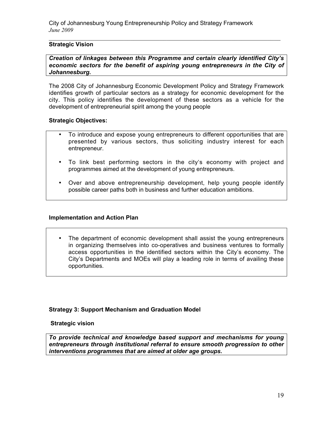City of Johannesburg Young Entrepreneurship Policy and Strategy Framework *June 2009*

#### **Strategic Vision**

#### *Creation of linkages between this Programme and certain clearly identified City's economic sectors for the benefit of aspiring young entrepreneurs in the City of Johannesburg.*

 $\mathcal{L}_\text{max} = \mathcal{L}_\text{max} = \mathcal{L}_\text{max} = \mathcal{L}_\text{max} = \mathcal{L}_\text{max} = \mathcal{L}_\text{max} = \mathcal{L}_\text{max} = \mathcal{L}_\text{max} = \mathcal{L}_\text{max} = \mathcal{L}_\text{max} = \mathcal{L}_\text{max} = \mathcal{L}_\text{max} = \mathcal{L}_\text{max} = \mathcal{L}_\text{max} = \mathcal{L}_\text{max} = \mathcal{L}_\text{max} = \mathcal{L}_\text{max} = \mathcal{L}_\text{max} = \mathcal{$ 

The 2008 City of Johannesburg Economic Development Policy and Strategy Framework identifies growth of particular sectors as a strategy for economic development for the city. This policy identifies the development of these sectors as a vehicle for the development of entrepreneurial spirit among the young people

#### **Strategic Objectives:**

- To introduce and expose young entrepreneurs to different opportunities that are presented by various sectors, thus soliciting industry interest for each entrepreneur.
- To link best performing sectors in the city's economy with project and programmes aimed at the development of young entrepreneurs.
- Over and above entrepreneurship development, help young people identify possible career paths both in business and further education ambitions.

#### **Implementation and Action Plan**

• The department of economic development shall assist the young entrepreneurs in organizing themselves into co-operatives and business ventures to formally access opportunities in the identified sectors within the City's economy. The City's Departments and MOEs will play a leading role in terms of availing these opportunities.

#### **Strategy 3: Support Mechanism and Graduation Model**

#### **Strategic vision**

*To provide technical and knowledge based support and mechanisms for young entrepreneurs through institutional referral to ensure smooth progression to other interventions programmes that are aimed at older age groups.*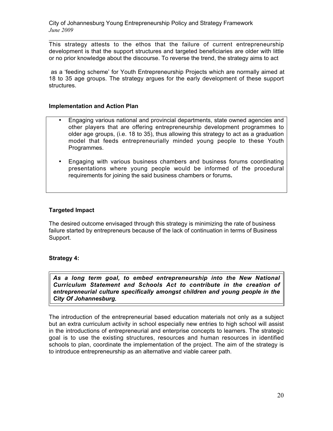This strategy attests to the ethos that the failure of current entrepreneurship development is that the support structures and targeted beneficiaries are older with little or no prior knowledge about the discourse. To reverse the trend, the strategy aims to act

 $\mathcal{L}_\text{max} = \mathcal{L}_\text{max} = \mathcal{L}_\text{max} = \mathcal{L}_\text{max} = \mathcal{L}_\text{max} = \mathcal{L}_\text{max} = \mathcal{L}_\text{max} = \mathcal{L}_\text{max} = \mathcal{L}_\text{max} = \mathcal{L}_\text{max} = \mathcal{L}_\text{max} = \mathcal{L}_\text{max} = \mathcal{L}_\text{max} = \mathcal{L}_\text{max} = \mathcal{L}_\text{max} = \mathcal{L}_\text{max} = \mathcal{L}_\text{max} = \mathcal{L}_\text{max} = \mathcal{$ 

as a 'feeding scheme' for Youth Entrepreneurship Projects which are normally aimed at 18 to 35 age groups. The strategy argues for the early development of these support structures.

#### **Implementation and Action Plan**

- Engaging various national and provincial departments, state owned agencies and other players that are offering entrepreneurship development programmes to older age groups, (i.e. 18 to 35), thus allowing this strategy to act as a graduation model that feeds entrepreneurially minded young people to these Youth Programmes.
- Engaging with various business chambers and business forums coordinating presentations where young people would be informed of the procedural requirements for joining the said business chambers or forums**.**

#### **Targeted Impact**

The desired outcome envisaged through this strategy is minimizing the rate of business failure started by entrepreneurs because of the lack of continuation in terms of Business Support.

#### **Strategy 4:**

*As a long term goal, to embed entrepreneurship into the New National Curriculum Statement and Schools Act to contribute in the creation of entrepreneurial culture specifically amongst children and young people in the City Of Johannesburg.*

The introduction of the entrepreneurial based education materials not only as a subject but an extra curriculum activity in school especially new entries to high school will assist in the introductions of entrepreneurial and enterprise concepts to learners. The strategic goal is to use the existing structures, resources and human resources in identified schools to plan, coordinate the implementation of the project. The aim of the strategy is to introduce entrepreneurship as an alternative and viable career path.